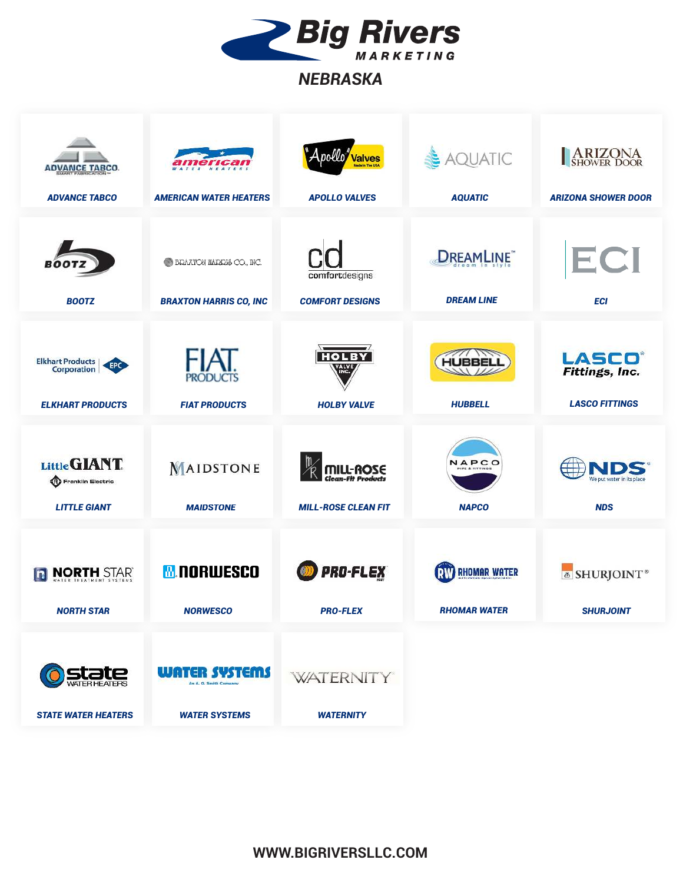

## *NEBRASKA*

| <b>ADVANCE TABCO.</b><br><b>ADVANCE TABCO</b>                                   | erican<br>HEATERS<br><b>AMERICAN WATER HEATERS</b>                     | Apollo <mark>" valves</mark><br><b>APOLLO VALVES</b> | & AQUATIC<br><b>AQUATIC</b>                        | <b>ARIZONA</b><br>SHOWER DOOR<br><b>ARIZONA SHOWER DOOR</b>     |
|---------------------------------------------------------------------------------|------------------------------------------------------------------------|------------------------------------------------------|----------------------------------------------------|-----------------------------------------------------------------|
| <b>BOOT</b><br><b>BOOTZ</b>                                                     | <b>BRAXTON HARRIS CO., INC.</b><br><b>BRAXTON HARRIS CO, INC</b>       | comfortdesigns<br><b>COMFORT DESIGNS</b>             | <b>DREAMLINE</b><br><b>DREAM LINE</b>              | ECI<br><b>ECI</b>                                               |
| <b>Elkhart Products</b><br>EPC<br><b>Corporation</b><br><b>ELKHART PRODUCTS</b> | IAF<br><b>PRODUCTS</b><br><b>FIAT PRODUCTS</b>                         | <b>HOLBY</b><br>VALVE<br><b>HOLBY VALVE</b>          | <b>HUBBELL</b><br><b>HUBBELL</b>                   | <b>LASCO®</b><br><b>Fittings, Inc.</b><br><b>LASCO FITTINGS</b> |
| Little GIANT.<br>Franklin Electric<br><b>LITTLE GIANT</b>                       | MAIDSTONE<br><b>MAIDSTONE</b>                                          | <b>MILL-ROSE</b><br><b>MILL-ROSE CLEAN FIT</b>       | NAPCO<br><b>IPE &amp; FITTINGS</b><br><b>NAPCO</b> | We put water in its place<br><b>NDS</b>                         |
| <b>NORTH STAR</b><br>$ \mathbf{n} $<br><b>NORTH STAR</b>                        | <b>M. NORWESCO</b><br><b>NORWESCO</b>                                  | <b>PRO-FLEX</b><br><b>PRO-FLEX</b>                   | <b>RIV RHOMAR WATER</b><br><b>RHOMAR WATER</b>     | <b>&amp; SHURJOINT</b> ®<br><b>SHURJOINT</b>                    |
| <b>STATE WATER HEATERS</b>                                                      | <b>WATER SYSTEMS</b><br>An A. Q. Smith Company<br><b>WATER SYSTEMS</b> | <b>WATERNITY</b><br><b>WATERNITY</b>                 |                                                    |                                                                 |